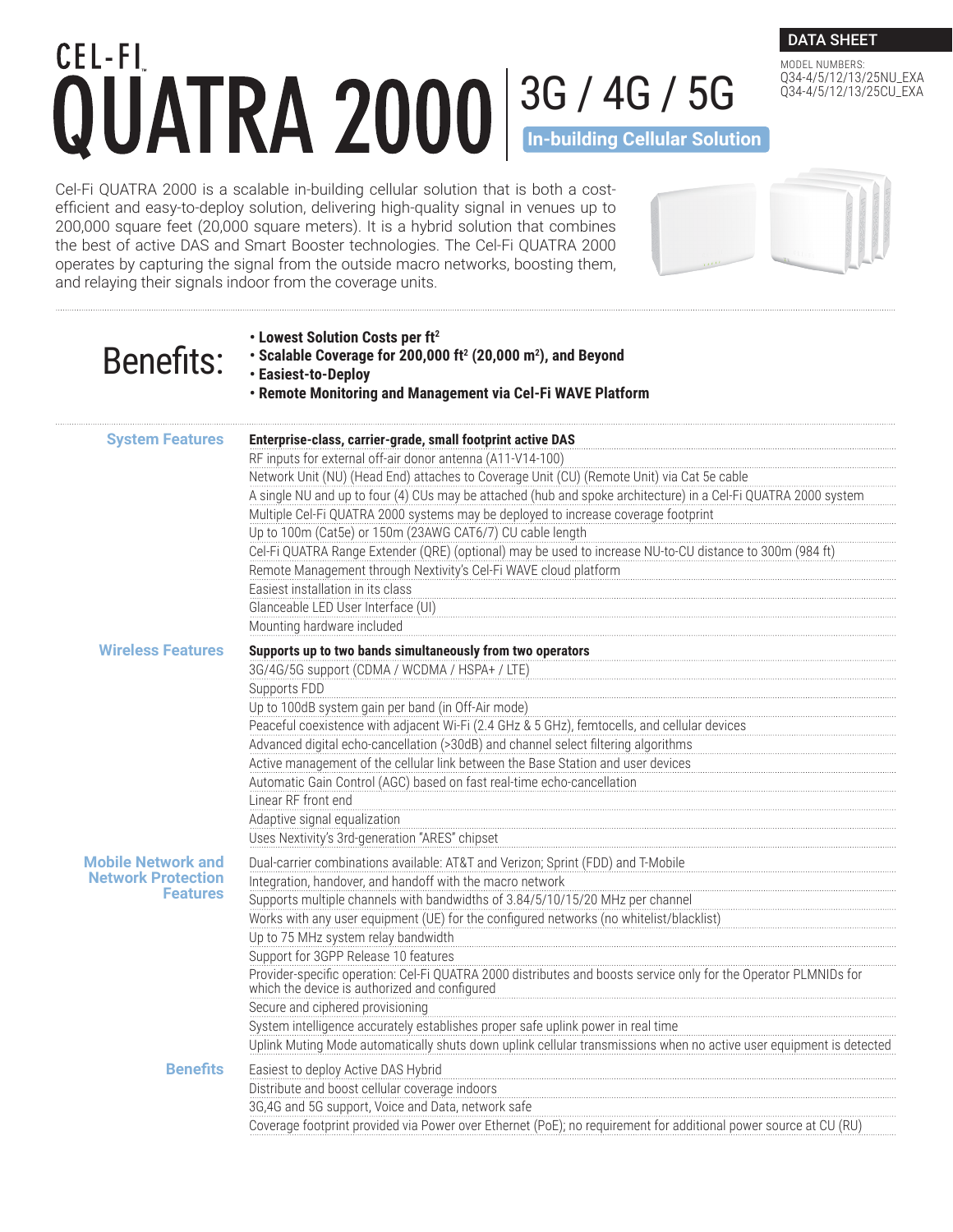## CEL-FI 3G / 4G / 5G **In-building Cellular Solution**

DATA SHEET MODEL NUMBERS:

Q34-4/5/12/13/25NU\_EXA Q34-4/5/12/13/25CU\_EXA

Cel-Fi QUATRA 2000 is a scalable in-building cellular solution that is both a costefficient and easy-to-deploy solution, delivering high-quality signal in venues up to 200,000 square feet (20,000 square meters). It is a hybrid solution that combines the best of active DAS and Smart Booster technologies. The Cel-Fi QUATRA 2000 operates by capturing the signal from the outside macro networks, boosting them, and relaying their signals indoor from the coverage units.

| <b>Benefits:</b>                             | • Lowest Solution Costs per ft <sup>2</sup><br>• Scalable Coverage for 200,000 ft <sup>2</sup> (20,000 m <sup>2</sup> ), and Beyond<br>• Easiest-to-Deploy<br>• Remote Monitoring and Management via Cel-Fi WAVE Platform |
|----------------------------------------------|---------------------------------------------------------------------------------------------------------------------------------------------------------------------------------------------------------------------------|
| <b>System Features</b>                       | Enterprise-class, carrier-grade, small footprint active DAS<br>RF inputs for external off-air donor antenna (A11-V14-100)                                                                                                 |
|                                              | Network Unit (NU) (Head End) attaches to Coverage Unit (CU) (Remote Unit) via Cat 5e cable                                                                                                                                |
|                                              | A single NU and up to four (4) CUs may be attached (hub and spoke architecture) in a Cel-Fi QUATRA 2000 system                                                                                                            |
|                                              | Multiple Cel-Fi QUATRA 2000 systems may be deployed to increase coverage footprint                                                                                                                                        |
|                                              | Up to 100m (Cat5e) or 150m (23AWG CAT6/7) CU cable length                                                                                                                                                                 |
|                                              | Cel-Fi QUATRA Range Extender (QRE) (optional) may be used to increase NU-to-CU distance to 300m (984 ft)                                                                                                                  |
|                                              | Remote Management through Nextivity's Cel-Fi WAVE cloud platform                                                                                                                                                          |
|                                              | Easiest installation in its class                                                                                                                                                                                         |
|                                              | Glanceable LED User Interface (UI)                                                                                                                                                                                        |
|                                              | Mounting hardware included                                                                                                                                                                                                |
| <b>Wireless Features</b>                     | Supports up to two bands simultaneously from two operators                                                                                                                                                                |
|                                              | 3G/4G/5G support (CDMA / WCDMA / HSPA+ / LTE)                                                                                                                                                                             |
|                                              | Supports FDD                                                                                                                                                                                                              |
|                                              | Up to 100dB system gain per band (in Off-Air mode)                                                                                                                                                                        |
|                                              | Peaceful coexistence with adjacent Wi-Fi (2.4 GHz & 5 GHz), femtocells, and cellular devices                                                                                                                              |
|                                              | Advanced digital echo-cancellation (>30dB) and channel select filtering algorithms                                                                                                                                        |
|                                              | Active management of the cellular link between the Base Station and user devices                                                                                                                                          |
|                                              | Automatic Gain Control (AGC) based on fast real-time echo-cancellation                                                                                                                                                    |
|                                              | Linear RF front end                                                                                                                                                                                                       |
|                                              | Adaptive signal equalization                                                                                                                                                                                              |
|                                              | Uses Nextivity's 3rd-generation "ARES" chipset                                                                                                                                                                            |
| <b>Mobile Network and</b>                    | Dual-carrier combinations available: AT&T and Verizon; Sprint (FDD) and T-Mobile                                                                                                                                          |
| <b>Network Protection</b><br><b>Features</b> | Integration, handover, and handoff with the macro network                                                                                                                                                                 |
|                                              | Supports multiple channels with bandwidths of 3.84/5/10/15/20 MHz per channel                                                                                                                                             |
|                                              | Works with any user equipment (UE) for the configured networks (no whitelist/blacklist)                                                                                                                                   |
|                                              | Up to 75 MHz system relay bandwidth                                                                                                                                                                                       |
|                                              | Support for 3GPP Release 10 features<br>Provider-specific operation: Cel-Fi QUATRA 2000 distributes and boosts service only for the Operator PLMNIDs for                                                                  |
|                                              | which the device is authorized and configured                                                                                                                                                                             |
|                                              | Secure and ciphered provisioning                                                                                                                                                                                          |
|                                              | System intelligence accurately establishes proper safe uplink power in real time                                                                                                                                          |
|                                              | Uplink Muting Mode automatically shuts down uplink cellular transmissions when no active user equipment is detected                                                                                                       |
| <b>Benefits</b>                              | Easiest to deploy Active DAS Hybrid                                                                                                                                                                                       |
|                                              | Distribute and boost cellular coverage indoors                                                                                                                                                                            |
|                                              | 3G,4G and 5G support, Voice and Data, network safe                                                                                                                                                                        |
|                                              | Coverage footprint provided via Power over Ethernet (PoE); no requirement for additional power source at CU (RU)                                                                                                          |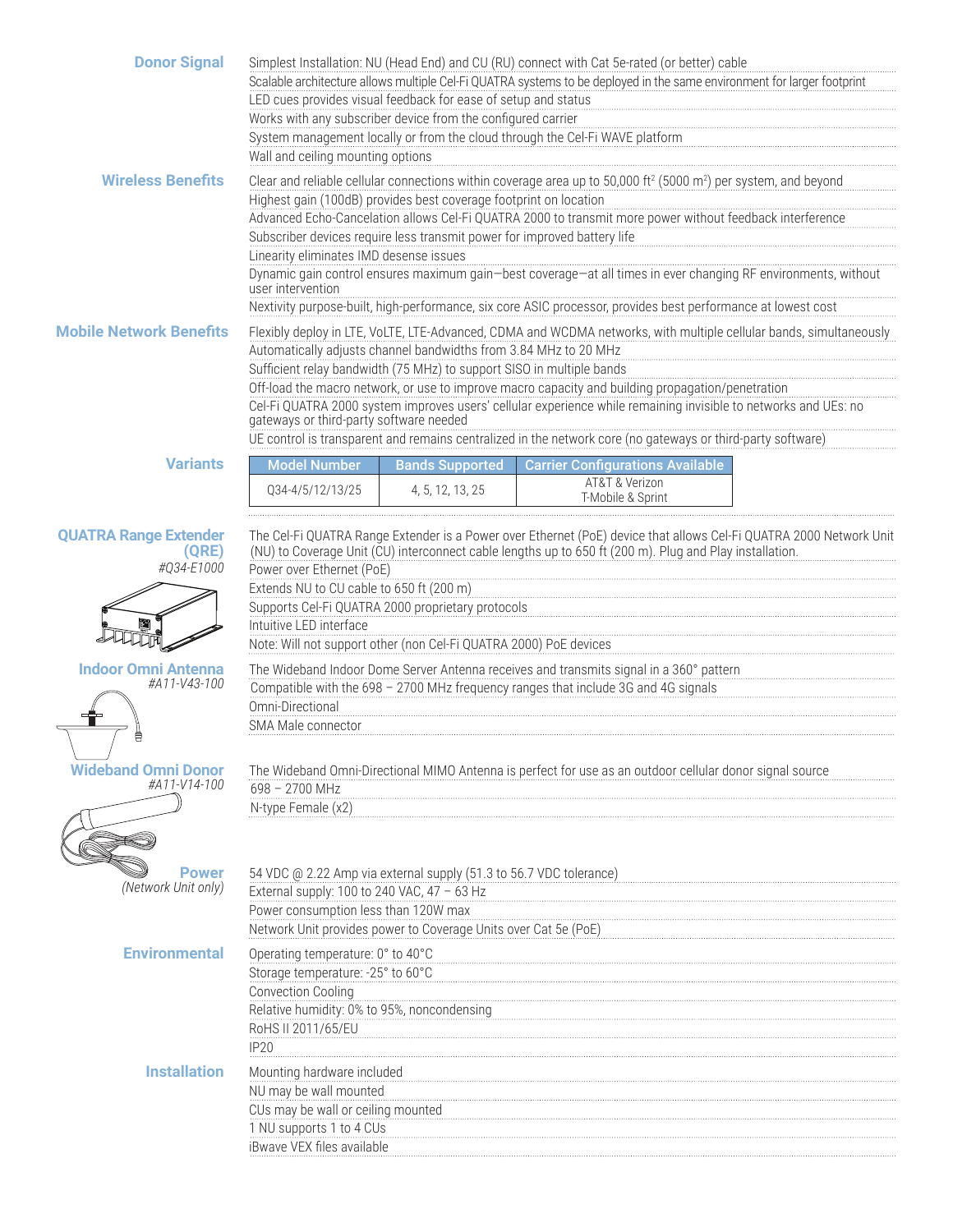| <b>Donor Signal</b>                                 | Wall and ceiling mounting options                                                                                                                                                       | LED cues provides visual feedback for ease of setup and status<br>Works with any subscriber device from the configured carrier                | Simplest Installation: NU (Head End) and CU (RU) connect with Cat 5e-rated (or better) cable<br>Scalable architecture allows multiple Cel-Fi QUATRA systems to be deployed in the same environment for larger footprint<br>System management locally or from the cloud through the Cel-Fi WAVE platform                                                                                                                                                                               |  |
|-----------------------------------------------------|-----------------------------------------------------------------------------------------------------------------------------------------------------------------------------------------|-----------------------------------------------------------------------------------------------------------------------------------------------|---------------------------------------------------------------------------------------------------------------------------------------------------------------------------------------------------------------------------------------------------------------------------------------------------------------------------------------------------------------------------------------------------------------------------------------------------------------------------------------|--|
| <b>Wireless Benefits</b>                            | Linearity eliminates IMD desense issues<br>user intervention                                                                                                                            | Highest gain (100dB) provides best coverage footprint on location<br>Subscriber devices require less transmit power for improved battery life | Clear and reliable cellular connections within coverage area up to 50,000 ft <sup>2</sup> (5000 m <sup>2</sup> ) per system, and beyond<br>Advanced Echo-Cancelation allows Cel-Fi QUATRA 2000 to transmit more power without feedback interference<br>Dynamic gain control ensures maximum gain-best coverage-at all times in ever changing RF environments, without<br>Nextivity purpose-built, high-performance, six core ASIC processor, provides best performance at lowest cost |  |
| <b>Mobile Network Benefits</b>                      | gateways or third-party software needed                                                                                                                                                 | Automatically adjusts channel bandwidths from 3.84 MHz to 20 MHz<br>Sufficient relay bandwidth (75 MHz) to support SISO in multiple bands     | Flexibly deploy in LTE, VoLTE, LTE-Advanced, CDMA and WCDMA networks, with multiple cellular bands, simultaneously<br>Off-load the macro network, or use to improve macro capacity and building propagation/penetration<br>Cel-Fi QUATRA 2000 system improves users' cellular experience while remaining invisible to networks and UEs: no<br>UE control is transparent and remains centralized in the network core (no gateways or third-party software)                             |  |
| <b>Variants</b>                                     | <b>Model Number</b>                                                                                                                                                                     | <b>Bands Supported</b>                                                                                                                        | <b>Carrier Configurations Available</b>                                                                                                                                                                                                                                                                                                                                                                                                                                               |  |
|                                                     | Q34-4/5/12/13/25                                                                                                                                                                        | 4, 5, 12, 13, 25                                                                                                                              | AT&T & Verizon<br>T-Mobile & Sprint                                                                                                                                                                                                                                                                                                                                                                                                                                                   |  |
| <b>QUATRA Range Extender</b><br>(QRE)<br>#Q34-E1000 | Power over Ethernet (PoE)<br>Extends NU to CU cable to 650 ft (200 m)<br>Intuitive LED interface                                                                                        | Supports Cel-Fi QUATRA 2000 proprietary protocols<br>Note: Will not support other (non Cel-Fi QUATRA 2000) PoE devices                        | The Cel-Fi QUATRA Range Extender is a Power over Ethernet (PoE) device that allows Cel-Fi QUATRA 2000 Network Unit<br>(NU) to Coverage Unit (CU) interconnect cable lengths up to 650 ft (200 m). Plug and Play installation.                                                                                                                                                                                                                                                         |  |
| <b>Indoor Omni Antenna</b><br>#A11-V43-100          | Omni-Directional                                                                                                                                                                        |                                                                                                                                               | The Wideband Indoor Dome Server Antenna receives and transmits signal in a 360° pattern<br>Compatible with the 698 - 2700 MHz frequency ranges that include 3G and 4G signals                                                                                                                                                                                                                                                                                                         |  |
|                                                     | SMA Male connector                                                                                                                                                                      |                                                                                                                                               |                                                                                                                                                                                                                                                                                                                                                                                                                                                                                       |  |
| <b>Wideband Omni Donor</b><br>#A11-V14-100          | 698 - 2700 MHz<br>N-type Female (x2)                                                                                                                                                    |                                                                                                                                               | The Wideband Omni-Directional MIMO Antenna is perfect for use as an outdoor cellular donor signal source                                                                                                                                                                                                                                                                                                                                                                              |  |
|                                                     |                                                                                                                                                                                         |                                                                                                                                               |                                                                                                                                                                                                                                                                                                                                                                                                                                                                                       |  |
| Power<br>(Network Unit only)                        | External supply: 100 to 240 VAC, 47 - 63 Hz<br>Power consumption less than 120W max                                                                                                     | 54 VDC @ 2.22 Amp via external supply (51.3 to 56.7 VDC tolerance)<br>Network Unit provides power to Coverage Units over Cat 5e (PoE)         |                                                                                                                                                                                                                                                                                                                                                                                                                                                                                       |  |
| <b>Environmental</b>                                | Operating temperature: 0° to 40°C<br>Storage temperature: -25° to 60°C<br><b>Convection Cooling</b><br>Relative humidity: 0% to 95%, noncondensing<br>RoHS II 2011/65/EU<br><b>IP20</b> |                                                                                                                                               |                                                                                                                                                                                                                                                                                                                                                                                                                                                                                       |  |
| <b>Installation</b>                                 | Mounting hardware included<br>NU may be wall mounted<br>CUs may be wall or ceiling mounted<br>1 NU supports 1 to 4 CUs<br>iBwave VEX files available                                    |                                                                                                                                               |                                                                                                                                                                                                                                                                                                                                                                                                                                                                                       |  |